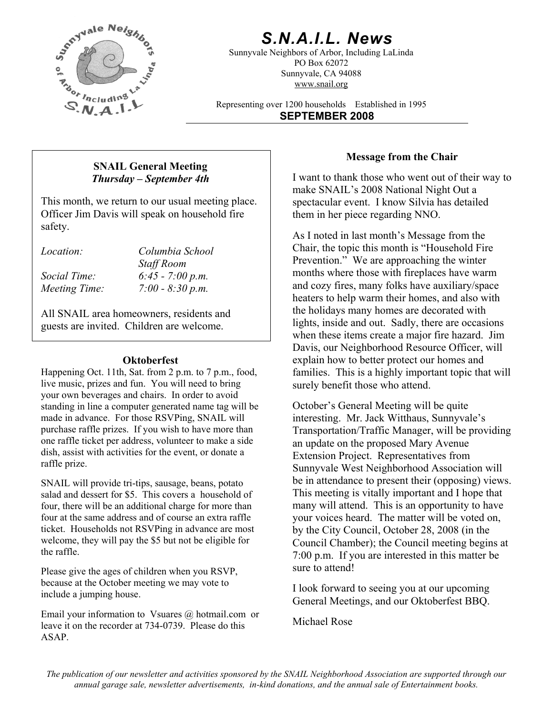

## *S.N.A.I.L. News*

Sunnyvale Neighbors of Arbor, Including LaLinda PO Box 62072 Sunnyvale, CA 94088 www.snail.org

Representing over 1200 households Established in 1995 **SEPTEMBER 2008**

## **Message from the Chair SNAIL General Meeting**  *Thursday – September 4th*

This month, we return to our usual meeting place. Officer Jim Davis will speak on household fire safety.<br>
As I noted in last month's Message from the

| <i>Location:</i> | Columbia School    |
|------------------|--------------------|
|                  | <b>Staff Room</b>  |
| Social Time:     | $6:45 - 7:00 p.m.$ |
| Meeting Time:    | $7:00 - 8:30 p.m.$ |

All SNAIL area homeowners, residents and guests are invited. Children are welcome.

### **Oktoberfest**

Happening Oct. 11th, Sat. from 2 p.m. to 7 p.m., food, live music, prizes and fun. You will need to bring your own beverages and chairs. In order to avoid standing in line a computer generated name tag will be made in advance. For those RSVPing, SNAIL will purchase raffle prizes. If you wish to have more than one raffle ticket per address, volunteer to make a side dish, assist with activities for the event, or donate a raffle prize.

SNAIL will provide tri-tips, sausage, beans, potato salad and dessert for \$5. This covers a household of four, there will be an additional charge for more than four at the same address and of course an extra raffle ticket. Households not RSVPing in advance are most welcome, they will pay the \$5 but not be eligible for the raffle.

Please give the ages of children when you RSVP, because at the October meeting we may vote to because at the October meeting we may vote to  $\frac{1}{2}$  I look forward to seeing you at our upcoming include a jumping house.

Email your information to Vsuares @ hotmail.com or leave it on the recorder at 734-0739. Please do this ASAP.

I want to thank those who went out of their way to make SNAIL's 2008 National Night Out a spectacular event. I know Silvia has detailed them in her piece regarding NNO.

Chair, the topic this month is "Household Fire Prevention." We are approaching the winter months where those with fireplaces have warm and cozy fires, many folks have auxiliary/space heaters to help warm their homes, and also with the holidays many homes are decorated with lights, inside and out. Sadly, there are occasions when these items create a major fire hazard. Jim Davis, our Neighborhood Resource Officer, will explain how to better protect our homes and families. This is a highly important topic that will surely benefit those who attend.

October's General Meeting will be quite interesting. Mr. Jack Witthaus, Sunnyvale's Transportation/Traffic Manager, will be providing an update on the proposed Mary Avenue Extension Project. Representatives from Sunnyvale West Neighborhood Association will be in attendance to present their (opposing) views. This meeting is vitally important and I hope that many will attend. This is an opportunity to have your voices heard. The matter will be voted on, by the City Council, October 28, 2008 (in the Council Chamber); the Council meeting begins at 7:00 p.m. If you are interested in this matter be sure to attend!

General Meetings, and our Oktoberfest BBQ.

Michael Rose

*The publication of our newsletter and activities sponsored by the SNAIL Neighborhood Association are supported through our annual garage sale, newsletter advertisements, in-kind donations, and the annual sale of Entertainment books.*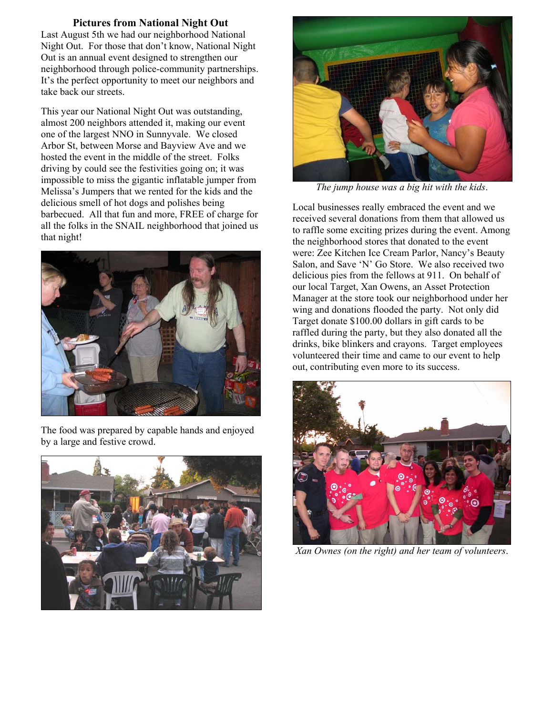#### **Pictures from National Night Out**

Last August 5th we had our neighborhood National Night Out. For those that don't know, National Night Out is an annual event designed to strengthen our neighborhood through police-community partnerships. It's the perfect opportunity to meet our neighbors and take back our streets.

This year our National Night Out was outstanding, almost 200 neighbors attended it, making our event one of the largest NNO in Sunnyvale. We closed Arbor St, between Morse and Bayview Ave and we hosted the event in the middle of the street. Folks driving by could see the festivities going on; it was impossible to miss the gigantic inflatable jumper from Melissa's Jumpers that we rented for the kids and the delicious smell of hot dogs and polishes being barbecued. All that fun and more, FREE of charge for all the folks in the SNAIL neighborhood that joined us that night!



The food was prepared by capable hands and enjoyed by a large and festive crowd.





*The jump house was a big hit with the kids*.

Local businesses really embraced the event and we received several donations from them that allowed us to raffle some exciting prizes during the event. Among the neighborhood stores that donated to the event were: Zee Kitchen Ice Cream Parlor, Nancy's Beauty Salon, and Save 'N' Go Store. We also received two delicious pies from the fellows at 911. On behalf of our local Target, Xan Owens, an Asset Protection Manager at the store took our neighborhood under her wing and donations flooded the party. Not only did Target donate \$100.00 dollars in gift cards to be raffled during the party, but they also donated all the drinks, bike blinkers and crayons. Target employees volunteered their time and came to our event to help out, contributing even more to its success.



*Xan Ownes (on the right) and her team of volunteers*.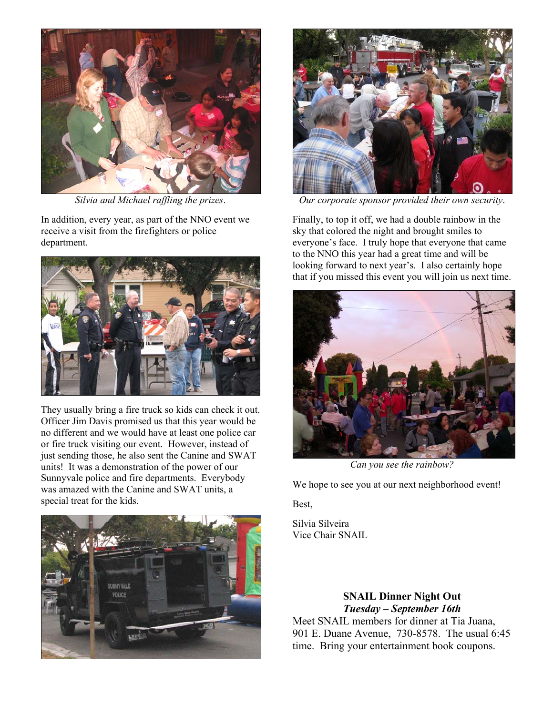

In addition, every year, as part of the NNO event we receive a visit from the firefighters or police department.



They usually bring a fire truck so kids can check it out. Officer Jim Davis promised us that this year would be no different and we would have at least one police car or fire truck visiting our event. However, instead of just sending those, he also sent the Canine and SWAT units! It was a demonstration of the power of our Sunnyvale police and fire departments. Everybody was amazed with the Canine and SWAT units, a special treat for the kids.





*Silvia and Michael raffling the prizes*. *Our corporate sponsor provided their own security*.

Finally, to top it off, we had a double rainbow in the sky that colored the night and brought smiles to everyone's face. I truly hope that everyone that came to the NNO this year had a great time and will be looking forward to next year's. I also certainly hope that if you missed this event you will join us next time.



*Can you see the rainbow?* 

We hope to see you at our next neighborhood event!

Best,

Silvia Silveira Vice Chair SNAIL

> **SNAIL Dinner Night Out**  *Tuesday – September 16th*

Meet SNAIL members for dinner at Tia Juana, 901 E. Duane Avenue, 730-8578. The usual 6:45 time. Bring your entertainment book coupons.